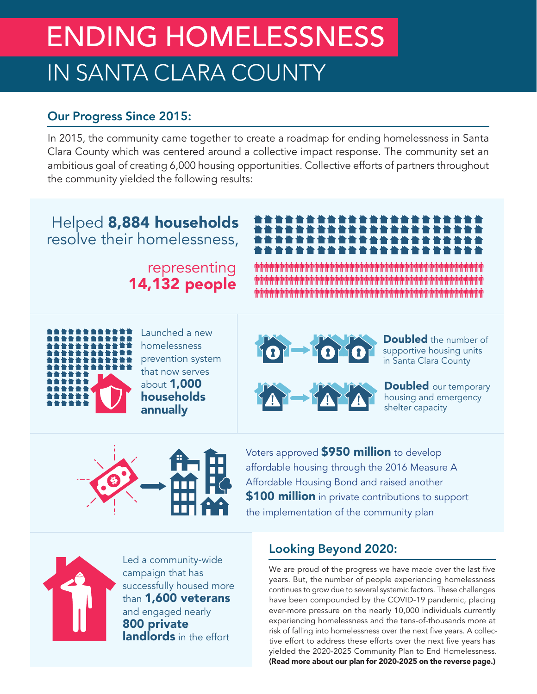# ENDING HOMELESSNESS IN SANTA CLARA COUNTY

### Our Progress Since 2015:

In 2015, the community came together to create a roadmap for ending homelessness in Santa Clara County which was centered around a collective impact response. The community set an ambitious goal of creating 6,000 housing opportunities. Collective efforts of partners throughout the community yielded the following results:

# Helped 8,884 households resolve their homelessness,

representing 14,132 people

> Launched a new homelessness

that now serves about 1,000 households annually



**Doubled** the number of supportive housing units in Santa Clara County



**Doubled** our temporary housing and emergency shelter capacity



Voters approved **\$950 million** to develop affordable housing through the 2016 Measure A Affordable Housing Bond and raised another **\$100 million** in private contributions to support the implementation of the community plan



Led a community-wide campaign that has successfully housed more than 1,600 veterans and engaged nearly 800 private **landlords** in the effort

## Looking Beyond 2020:

We are proud of the progress we have made over the last five years. But, the number of people experiencing homelessness continues to grow due to several systemic factors. These challenges have been compounded by the COVID-19 pandemic, placing ever-more pressure on the nearly 10,000 individuals currently experiencing homelessness and the tens-of-thousands more at risk of falling into homelessness over the next five years. A collective effort to address these efforts over the next five years has yielded the 2020-2025 Community Plan to End Homelessness. (Read more about our plan for 2020-2025 on the reverse page.)